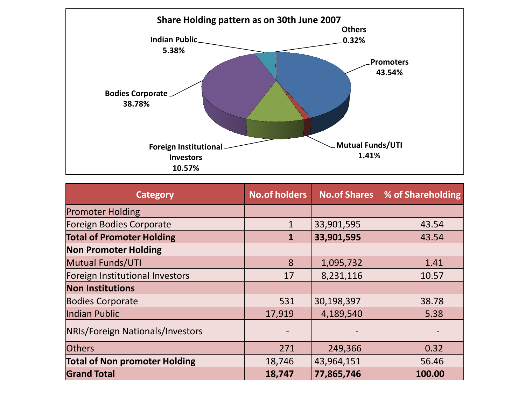

| <b>Category</b>                      | <b>No.of holders</b> | <b>No.of Shares</b> | % of Shareholding |
|--------------------------------------|----------------------|---------------------|-------------------|
| <b>Promoter Holding</b>              |                      |                     |                   |
| <b>Foreign Bodies Corporate</b>      | $\mathbf{1}$         | 33,901,595          | 43.54             |
| <b>Total of Promoter Holding</b>     | $\mathbf{1}$         | 33,901,595          | 43.54             |
| <b>Non Promoter Holding</b>          |                      |                     |                   |
| Mutual Funds/UTI                     | 8                    | 1,095,732           | 1.41              |
| Foreign Institutional Investors      | 17                   | 8,231,116           | 10.57             |
| <b>Non Institutions</b>              |                      |                     |                   |
| <b>Bodies Corporate</b>              | 531                  | 30,198,397          | 38.78             |
| Indian Public                        | 17,919               | 4,189,540           | 5.38              |
| NRIs/Foreign Nationals/Investors     |                      |                     |                   |
| <b>Others</b>                        | 271                  | 249,366             | 0.32              |
| <b>Total of Non promoter Holding</b> | 18,746               | 43,964,151          | 56.46             |
| <b>Grand Total</b>                   | 18,747               | 77,865,746          | 100.00            |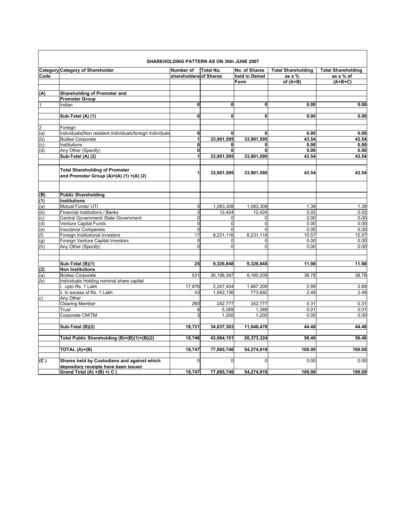| SHAREHOLDING PATTERN AS ON 30th JUNE 2007 |                                                                                     |                        |              |               |                           |                           |
|-------------------------------------------|-------------------------------------------------------------------------------------|------------------------|--------------|---------------|---------------------------|---------------------------|
|                                           | <b>Category Category of Shareholder</b>                                             | Number of              | Total No.    | No. of Shares | <b>Total Shareholding</b> | <b>Total Shareholding</b> |
| Code                                      |                                                                                     | shareholders of Shares |              | held in Demat | as a %                    | as a % of                 |
|                                           |                                                                                     |                        |              | Form          | of $(A+B)$                | $(A+B+C)$                 |
|                                           |                                                                                     |                        |              |               |                           |                           |
| (A)                                       | Shareholding of Promoter and                                                        |                        |              |               |                           |                           |
|                                           | <b>Promoter Group</b>                                                               |                        |              |               |                           |                           |
|                                           | Indian                                                                              | $\mathbf{0}$           | $\mathbf 0$  | $\mathbf 0$   | 0.00                      | 0.00                      |
|                                           |                                                                                     |                        |              |               |                           |                           |
|                                           | Sub-Total (A) (1)                                                                   | $\mathbf 0$            | <sub>0</sub> | <sub>0</sub>  | 0.00                      | 0.00                      |
|                                           |                                                                                     |                        |              |               |                           |                           |
| $\overline{2}$                            | Foreign                                                                             |                        |              |               |                           |                           |
| (a)                                       | Individuals(Non resident individuals/foreign individuals                            | <sub>0</sub>           | $\mathbf 0$  | $\mathbf 0$   | 0.00                      | 0.00                      |
| (b)                                       | <b>Bodies Corporate</b>                                                             | $\mathbf{1}$           | 33,901,595   | 33,901,595    | 43.54                     | 43.54                     |
| (c)                                       | Institutions                                                                        | $\mathbf 0$            | $\mathbf{0}$ | $\mathbf 0$   | 0.00                      | 0.00                      |
| (d)                                       | Any Other (Specify)                                                                 | $\mathbf 0$            | <sub>0</sub> | $\mathbf 0$   | 0.00                      | 0.00                      |
|                                           | Sub-Total (A) (2)                                                                   | $\mathbf{1}$           | 33,901,595   | 33,901,595    | 43.54                     | 43.54                     |
|                                           | <b>Total Shareholding of Promoter</b><br>and Promoter Group (A)=(A) (1) +(A) (2)    | 1                      | 33,901,595   | 33,901,595    | 43.54                     | 43.54                     |
| (B)                                       | <b>Public Shareholding</b>                                                          |                        |              |               |                           |                           |
| (1)                                       | <b>Institutions</b>                                                                 |                        |              |               |                           |                           |
| (a)                                       | Mutual Funds/ UTI                                                                   | 5                      | 1,083,308    | 1,083,308     | 1.39                      | 1.39                      |
| (b)                                       | Financial Institutions / Banks                                                      | ω                      | 12,424       | 12,424        | 0.02                      | 0.02                      |
| (c)                                       | Central Government/ State Government                                                | $\mathbf{0}$           | 0            | $\Omega$      | 0.00                      | 0.00                      |
| $\overline{d}$                            | Venture Capital Funds                                                               | $\overline{0}$         | $\mathbf 0$  | $\mathbf 0$   | 0.00                      | 0.00                      |
| $\overline{e}$                            | <b>Insurance Companies</b>                                                          | $\mathbf 0$            | $\Omega$     | $\Omega$      | 0.00                      | 0.00                      |
| (f)                                       | Foreign Institutional Investors                                                     | 17                     | 8,231,116    | 8,231,116     | 10.57                     | 10.57                     |
| (g)                                       | Foreign Venture Capital Investors                                                   | $\mathbf 0$            | $\mathbf 0$  | $\Omega$      | 0.00                      | 0.00                      |
| (h)                                       | Any Other (Specify)                                                                 | $\Omega$               | $\mathbf{0}$ | $\Omega$      | 0.00                      | 0.00                      |
|                                           | Sub-Total (B)(1)                                                                    | 25                     | 9,326,848    | 9,326,848     | 11.98                     | 11.98                     |
| (2)                                       | <b>Non Institutions</b>                                                             |                        |              |               |                           |                           |
| (a)                                       | <b>Bodies Corporate</b>                                                             | 531                    | 30,198,397   | 8,160,209     | 38.78                     | 38.78                     |
| (b)                                       | Individuals Holding nominal share capital                                           |                        |              |               |                           |                           |
|                                           | i. upto Rs. 1 Lakh                                                                  | 17,876                 | 2,247,404    | 1,867,209     | 2.89                      | 2.89                      |
|                                           | ii. In excess of Rs. 1 Lakh                                                         | 43                     | 1,942,136    | 773,692       | 2.49                      | 2.49                      |
| $\mathsf{c}$                              | Any Other                                                                           |                        |              |               |                           |                           |
|                                           | <b>Clearing Member</b>                                                              | 260                    | 242,777      | 242,777       | 0.31                      | 0.31                      |
|                                           | Trust                                                                               | 8                      | 5,389        | 1,389         | 0.01                      | 0.01                      |
|                                           | Corporate CM/TM                                                                     | 3                      | 1,200        | 1,200         | 0.00                      | 0.00                      |
|                                           |                                                                                     |                        |              |               |                           |                           |
|                                           | Sub-Total (B)(2)                                                                    | 18,721                 | 34,637,303   | 11,046,476    | 44.48                     | 44.48                     |
|                                           | Total Public Shareholding (B)=(B)(1)+(B)(2)                                         | 18,746                 | 43,964,151   | 20,373,324    | 56.46                     | 56.46                     |
|                                           | TOTAL (A)+(B)                                                                       | 18,747                 | 77,865,746   | 54,274,919    | 100.00                    | 100.00                    |
| (C)                                       | Shares held by Custodians and against which<br>depository receipts have been issued | $\Omega$               | $\Omega$     | $\Omega$      | 0.00                      | 0.00                      |
|                                           | Grand Total (A) $+(B) + (C)$                                                        | 18,747                 | 77,865,746   | 54,274,919    | 100.00                    | 100.00                    |